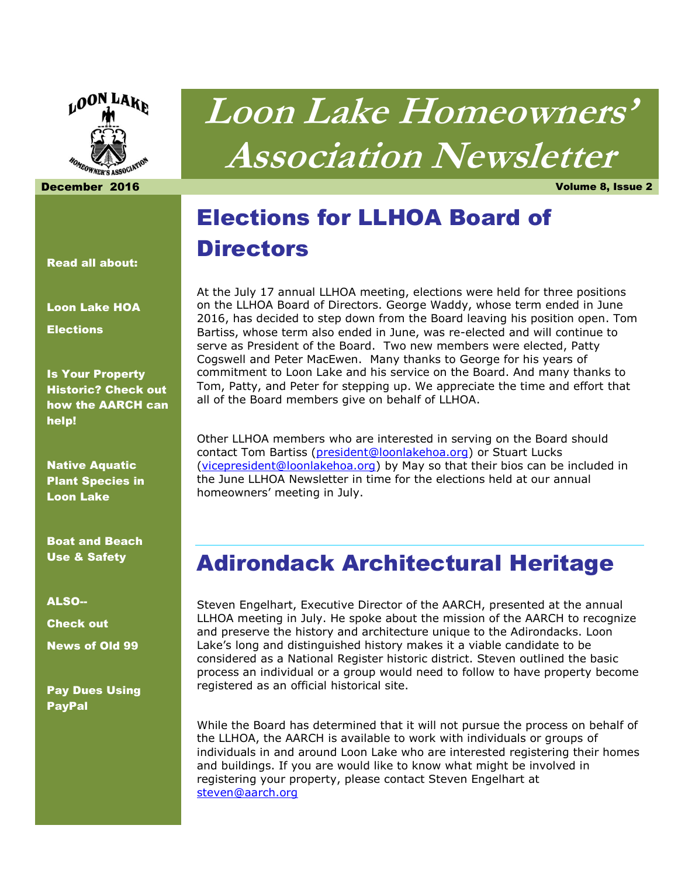

# **Loon Lake Homeowners' Association Newsletter**

December 2016 Volume 8, Issue 2

# Elections for LLHOA Board of **Directors**

At the July 17 annual LLHOA meeting, elections were held for three positions on the LLHOA Board of Directors. George Waddy, whose term ended in June 2016, has decided to step down from the Board leaving his position open. Tom Bartiss, whose term also ended in June, was re-elected and will continue to serve as President of the Board. Two new members were elected, Patty Cogswell and Peter MacEwen. Many thanks to George for his years of commitment to Loon Lake and his service on the Board. And many thanks to Tom, Patty, and Peter for stepping up. We appreciate the time and effort that all of the Board members give on behalf of LLHOA.

Other LLHOA members who are interested in serving on the Board should contact Tom Bartiss [\(president@loonlakehoa.org\)](mailto:president@loonlakehoa.org) or Stuart Lucks [\(vicepresident@loonlakehoa.org\)](mailto:vicepresident@loonlakehoa.org) by May so that their bios can be included in the June LLHOA Newsletter in time for the elections held at our annual homeowners' meeting in July.

### Adirondack Architectural Heritage

Steven Engelhart, Executive Director of the AARCH, presented at the annual LLHOA meeting in July. He spoke about the mission of the AARCH to recognize and preserve the history and architecture unique to the Adirondacks. Loon Lake's long and distinguished history makes it a viable candidate to be considered as a National Register historic district. Steven outlined the basic process an individual or a group would need to follow to have property become registered as an official historical site.

While the Board has determined that it will not pursue the process on behalf of the LLHOA, the AARCH is available to work with individuals or groups of individuals in and around Loon Lake who are interested registering their homes and buildings. If you are would like to know what might be involved in registering your property, please contact Steven Engelhart at [steven@aarch.org](mailto:steven@aarch.org)

Read all about:

Loon Lake HOA

**Elections** 

Is Your Property Historic? Check out how the AARCH can help!

Native Aquatic Plant Species in Loon Lake

Boat and Beach Use & Safety

ALSO-- Check out News of Old 99

Pay Dues Using PayPal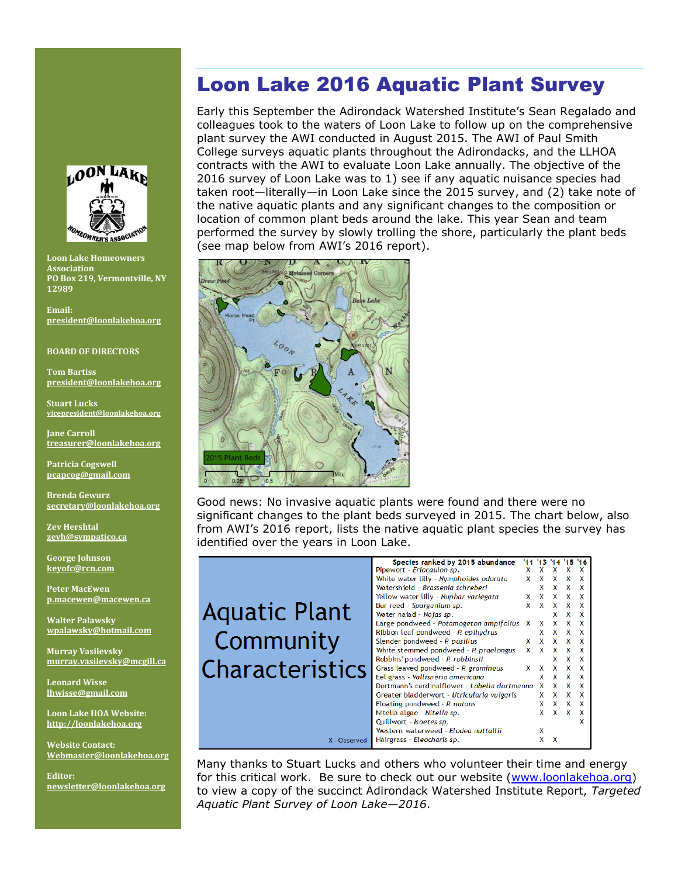### **OON LAKE MEOWNER'S** ASSOCIAT

**Loon Lake Homeowners Association PO Box 219, Vermontville, NY 12989** 

**Email: [president@loonlakehoa.org](mailto:president@loonlakehoa.org)**

#### **BOARD OF DIRECTORS**

**Tom Bartiss [president@loonlakehoa.org](mailto:president@loonlakehoa.org)**

**Stuart Lucks [vicepresident@loonlakehoa.org](mailto:vicepresident@loonlakehoa.org)**

**Jane Carroll [treasurer@loonlakehoa.org](mailto:treasurer@loonlakehoa.org)**

**Patricia Cogswell [pcapcog@gmail.com](mailto:pcapcog@gmail.com)**

**Brenda Gewurz [secretary@loonlakehoa.org](mailto:secretary@loonlakehoa.org)**

**Zev Hershtal [zevh@sympatico.ca](mailto:zevh@sympatico.ca)**

**George Johnson [keyofc@rcn.com](mailto:keyofc@rcn.com)**

**Peter MacEwen [p.macewen@macewen.ca](mailto:p.macewen@macewen.ca)**

**Walter Palawsky [wpalawsky@hotmail.com](mailto:wpalawsky@hotmail.com)**

**Murray Vasilevsky [murray.vasilevsky@mcgill.ca](mailto:murray.vasilevsky@mcgill.ca)** Aqı

**Leonard Wisse [lhwisse@gmail.com](mailto:lhwisse@gmail.com)**

**Loon Lake HOA Website: [http://loonlakehoa.org](http://loonlakehoa.org/)**

**Website Contact: Webmaster@loonlakehoa.org**

**Editor: [newsletter@loonlakehoa.org](mailto:newsletter@loonlakehoa.org)**

### Loon Lake 2016 Aquatic Plant Survey

Early this September the Adirondack Watershed Institute's Sean Regalado and colleagues took to the waters of Loon Lake to follow up on the comprehensive plant survey the AWI conducted in August 2015. The AWI of Paul Smith College surveys aquatic plants throughout the Adirondacks, and the LLHOA contracts with the AWI to evaluate Loon Lake annually. The objective of the 2016 survey of Loon Lake was to 1) see if any aquatic nuisance species had taken root—literally—in Loon Lake since the 2015 survey, and (2) take note of the native aquatic plants and any significant changes to the composition or location of common plant beds around the lake. This year Sean and team performed the survey by slowly trolling the shore, particularly the plant beds (see map below from AWI's 2016 report).



Good news: No invasive aquatic plants were found and there were no significant changes to the plant beds surveyed in 2015. The chart below, also from AWI's 2016 report, lists the native aquatic plant species the survey has identified over the years in Loon Lake.

|              | Species ranked by 2015 abundance              |          | 11 13 14 |   |              |   |
|--------------|-----------------------------------------------|----------|----------|---|--------------|---|
|              | Pipewort - Eriocaulon sp.                     | x        | x        | x | x            | x |
|              | White water lilly - Nymphoides odorata        | x        | x        | x | x            | x |
|              | Watershield - Brassenia schreberi             |          | x        | x | x            | x |
|              | Yellow water lilly - Nuphar variegata         | x        | x        | x | x            | x |
| atic Plant   | Bur reed - Sparganium sp.                     | x        | x        | x | x            | x |
|              | Water naiad - Najas sp.                       |          |          | x | x            | x |
|              | Large pondweed - Potamogeton ampifolius       | X        | x        | x |              | x |
|              | Ribbon leaf pondweed - P. epihydrus           |          | x        | x | x            | X |
| mmunity      | Slender pondweed - P. pusillus                | x.       | x        | x | x            | x |
|              | White stemmed pondweed - P. praelongus        | <b>X</b> | x        | x | x            | x |
|              | Robbins' pondweed - P. robbinsii              |          |          | x | X            | x |
| racteristics | Grass leaved pondweed - P. gramineus          | x        | x        | x | x            | X |
|              | Eel grass - Vallisneria americana             |          | x        | X | X            | x |
|              | Dortmann's cardinalflower - Lobelia dortmanna |          | x        | x | x            | x |
|              | Greater bladderwort - Utricularia vulgaris    |          | x        | x | $\mathsf{x}$ | x |
|              | Floating pondweed - P. natans                 |          | x        | x | x            | X |
|              | Nitella algae - Nitella sp.                   |          | x        | X | $\mathsf{x}$ | x |
|              | Quillwort - Isoetes sp.                       |          |          |   |              | x |
|              | Western waterweed - Elodea nuttallii          |          | x        |   |              |   |
| X - Observed | Hairgrass - Eleocharis sp.                    |          | x        | x |              |   |
|              |                                               |          |          |   |              |   |

Many thanks to Stuart Lucks and others who volunteer their time and energy for this critical work. Be sure to check out our website [\(www.loonlakehoa.org\)](http://www.loonlakehoa.org/) to view a copy of the succinct Adirondack Watershed Institute Report, *Targeted Aquatic Plant Survey of Loon Lake—2016*.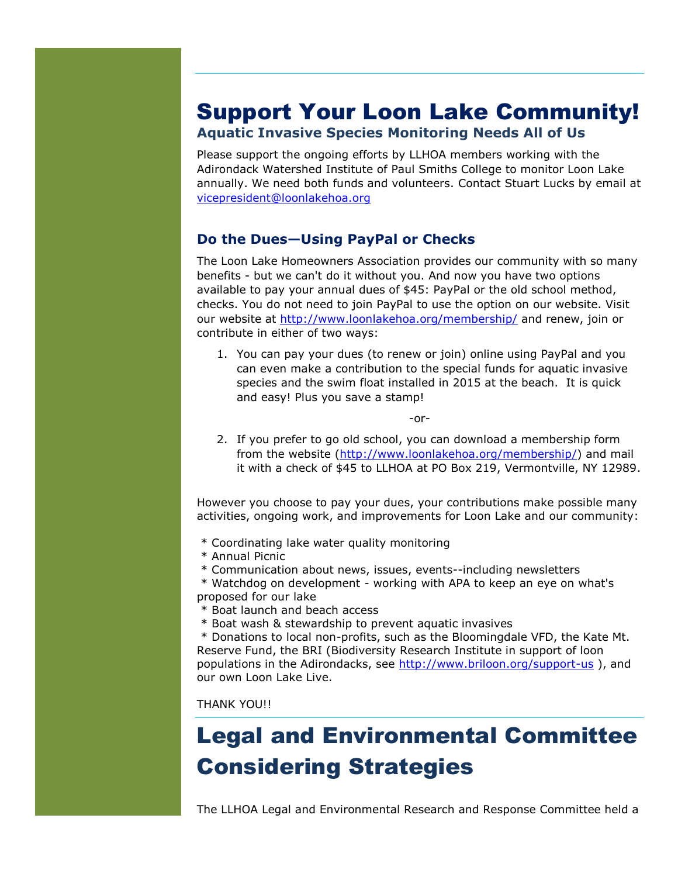### Support Your Loon Lake Community!

#### **Aquatic Invasive Species Monitoring Needs All of Us**

Please support the ongoing efforts by LLHOA members working with the Adirondack Watershed Institute of Paul Smiths College to monitor Loon Lake annually. We need both funds and volunteers. Contact Stuart Lucks by email at [vicepresident@loonlakehoa.org](mailto:vicepresident@loonlakehoa.org)

#### **Do the Dues—Using PayPal or Checks**

The Loon Lake Homeowners Association provides our community with so many benefits - but we can't do it without you. And now you have two options available to pay your annual dues of \$45: PayPal or the old school method, checks. You do not need to join PayPal to use the option on our website. Visit our website at<http://www.loonlakehoa.org/membership/> and renew, join or contribute in either of two ways:

1. You can pay your dues (to renew or join) online using PayPal and you can even make a contribution to the special funds for aquatic invasive species and the swim float installed in 2015 at the beach. It is quick and easy! Plus you save a stamp!

-or-

2. If you prefer to go old school, you can download a membership form from the website [\(http://www.loonlakehoa.org/membership/\)](http://www.loonlakehoa.org/membership/) and mail it with a check of \$45 to LLHOA at PO Box 219, Vermontville, NY 12989.

However you choose to pay your dues, your contributions make possible many activities, ongoing work, and improvements for Loon Lake and our community:

- \* Coordinating lake water quality monitoring
- \* Annual Picnic
- \* Communication about news, issues, events--including newsletters

\* Watchdog on development - working with APA to keep an eye on what's proposed for our lake

- \* Boat launch and beach access
- \* Boat wash & stewardship to prevent aquatic invasives

\* Donations to local non-profits, such as the Bloomingdale VFD, the Kate Mt. Reserve Fund, the BRI (Biodiversity Research Institute in support of loon populations in the Adirondacks, see<http://www.briloon.org/support-us> ), and our own Loon Lake Live.

THANK YOU!!

## Legal and Environmental Committee Considering Strategies

The LLHOA Legal and Environmental Research and Response Committee held a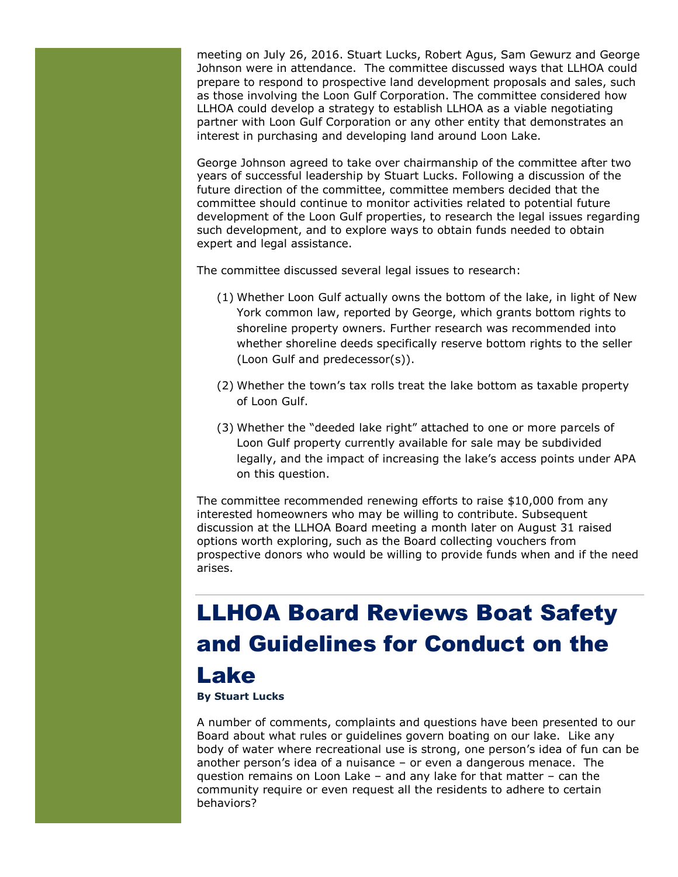meeting on July 26, 2016. Stuart Lucks, Robert Agus, Sam Gewurz and George Johnson were in attendance. The committee discussed ways that LLHOA could prepare to respond to prospective land development proposals and sales, such as those involving the Loon Gulf Corporation. The committee considered how LLHOA could develop a strategy to establish LLHOA as a viable negotiating partner with Loon Gulf Corporation or any other entity that demonstrates an interest in purchasing and developing land around Loon Lake.

George Johnson agreed to take over chairmanship of the committee after two years of successful leadership by Stuart Lucks. Following a discussion of the future direction of the committee, committee members decided that the committee should continue to monitor activities related to potential future development of the Loon Gulf properties, to research the legal issues regarding such development, and to explore ways to obtain funds needed to obtain expert and legal assistance.

The committee discussed several legal issues to research:

- (1) Whether Loon Gulf actually owns the bottom of the lake, in light of New York common law, reported by George, which grants bottom rights to shoreline property owners. Further research was recommended into whether shoreline deeds specifically reserve bottom rights to the seller (Loon Gulf and predecessor(s)).
- (2) Whether the town's tax rolls treat the lake bottom as taxable property of Loon Gulf.
- (3) Whether the "deeded lake right" attached to one or more parcels of Loon Gulf property currently available for sale may be subdivided legally, and the impact of increasing the lake's access points under APA on this question.

The committee recommended renewing efforts to raise \$10,000 from any interested homeowners who may be willing to contribute. Subsequent discussion at the LLHOA Board meeting a month later on August 31 raised options worth exploring, such as the Board collecting vouchers from prospective donors who would be willing to provide funds when and if the need arises.

# LLHOA Board Reviews Boat Safety and Guidelines for Conduct on the Lake

#### **By Stuart Lucks**

A number of comments, complaints and questions have been presented to our Board about what rules or guidelines govern boating on our lake. Like any body of water where recreational use is strong, one person's idea of fun can be another person's idea of a nuisance – or even a dangerous menace. The question remains on Loon Lake – and any lake for that matter – can the community require or even request all the residents to adhere to certain behaviors?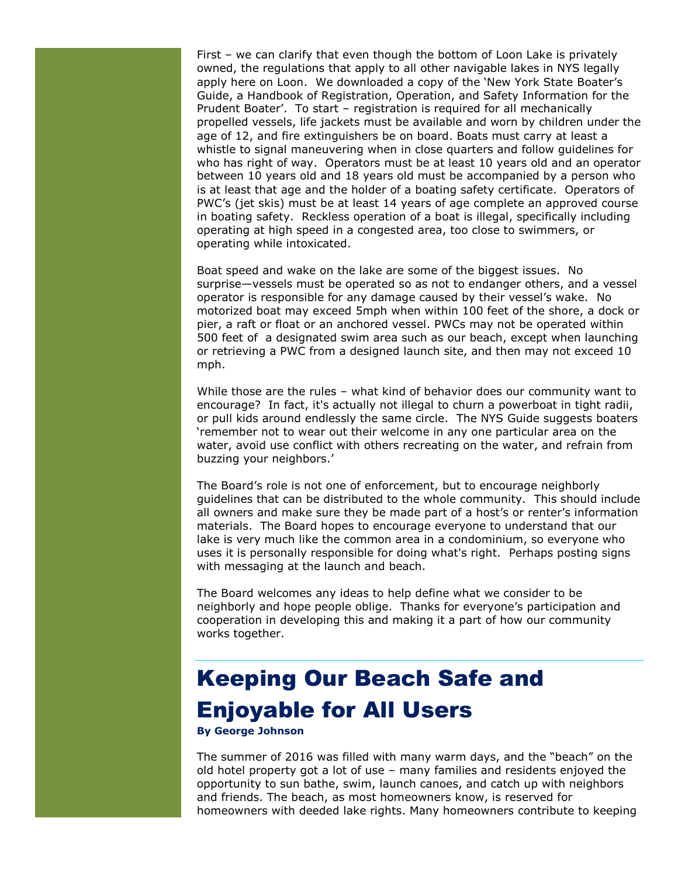First – we can clarify that even though the bottom of Loon Lake is privately owned, the regulations that apply to all other navigable lakes in NYS legally apply here on Loon. We downloaded a copy of the 'New York State Boater's Guide, a Handbook of Registration, Operation, and Safety Information for the Prudent Boater'. To start – registration is required for all mechanically propelled vessels, life jackets must be available and worn by children under the age of 12, and fire extinguishers be on board. Boats must carry at least a whistle to signal maneuvering when in close quarters and follow guidelines for who has right of way. Operators must be at least 10 years old and an operator between 10 years old and 18 years old must be accompanied by a person who is at least that age and the holder of a boating safety certificate. Operators of PWC's (jet skis) must be at least 14 years of age complete an approved course in boating safety. Reckless operation of a boat is illegal, specifically including operating at high speed in a congested area, too close to swimmers, or operating while intoxicated.

Boat speed and wake on the lake are some of the biggest issues. No surprise—vessels must be operated so as not to endanger others, and a vessel operator is responsible for any damage caused by their vessel's wake. No motorized boat may exceed 5mph when within 100 feet of the shore, a dock or pier, a raft or float or an anchored vessel. PWCs may not be operated within 500 feet of a designated swim area such as our beach, except when launching or retrieving a PWC from a designed launch site, and then may not exceed 10 mph.

While those are the rules – what kind of behavior does our community want to encourage? In fact, it's actually not illegal to churn a powerboat in tight radii, or pull kids around endlessly the same circle. The NYS Guide suggests boaters 'remember not to wear out their welcome in any one particular area on the water, avoid use conflict with others recreating on the water, and refrain from buzzing your neighbors.'

The Board's role is not one of enforcement, but to encourage neighborly guidelines that can be distributed to the whole community. This should include all owners and make sure they be made part of a host's or renter's information materials. The Board hopes to encourage everyone to understand that our lake is very much like the common area in a condominium, so everyone who uses it is personally responsible for doing what's right. Perhaps posting signs with messaging at the launch and beach.

The Board welcomes any ideas to help define what we consider to be neighborly and hope people oblige. Thanks for everyone's participation and cooperation in developing this and making it a part of how our community works together.

# Keeping Our Beach Safe and Enjoyable for All Users

**By George Johnson**

The summer of 2016 was filled with many warm days, and the "beach" on the old hotel property got a lot of use – many families and residents enjoyed the opportunity to sun bathe, swim, launch canoes, and catch up with neighbors and friends. The beach, as most homeowners know, is reserved for homeowners with deeded lake rights. Many homeowners contribute to keeping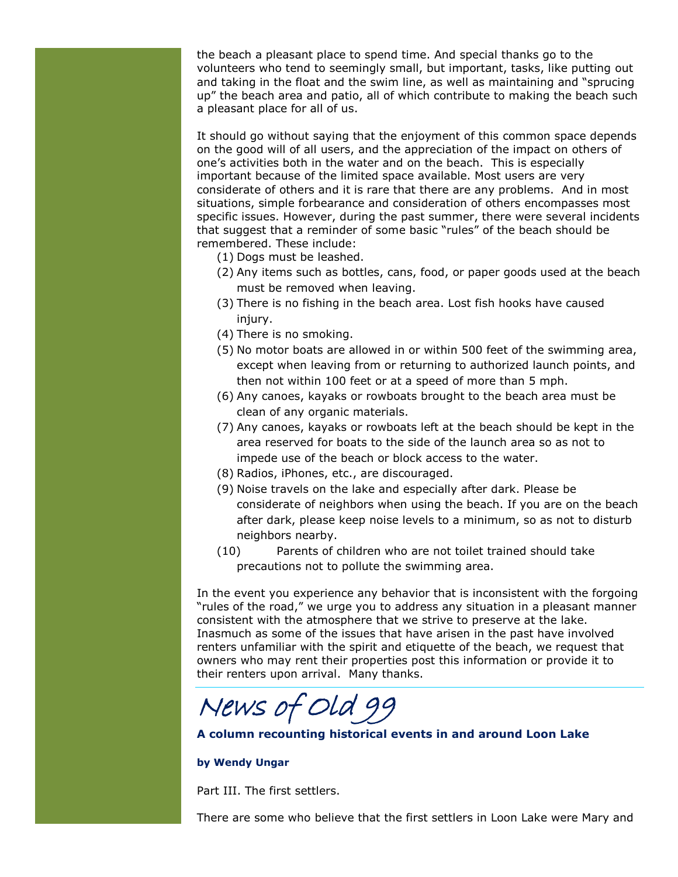the beach a pleasant place to spend time. And special thanks go to the volunteers who tend to seemingly small, but important, tasks, like putting out and taking in the float and the swim line, as well as maintaining and "sprucing up" the beach area and patio, all of which contribute to making the beach such a pleasant place for all of us.

It should go without saying that the enjoyment of this common space depends on the good will of all users, and the appreciation of the impact on others of one's activities both in the water and on the beach. This is especially important because of the limited space available. Most users are very considerate of others and it is rare that there are any problems. And in most situations, simple forbearance and consideration of others encompasses most specific issues. However, during the past summer, there were several incidents that suggest that a reminder of some basic "rules" of the beach should be remembered. These include:

- (1) Dogs must be leashed.
- (2) Any items such as bottles, cans, food, or paper goods used at the beach must be removed when leaving.
- (3) There is no fishing in the beach area. Lost fish hooks have caused injury.
- (4) There is no smoking.
- (5) No motor boats are allowed in or within 500 feet of the swimming area, except when leaving from or returning to authorized launch points, and then not within 100 feet or at a speed of more than 5 mph.
- (6) Any canoes, kayaks or rowboats brought to the beach area must be clean of any organic materials.
- (7) Any canoes, kayaks or rowboats left at the beach should be kept in the area reserved for boats to the side of the launch area so as not to impede use of the beach or block access to the water.
- (8) Radios, iPhones, etc., are discouraged.
- (9) Noise travels on the lake and especially after dark. Please be considerate of neighbors when using the beach. If you are on the beach after dark, please keep noise levels to a minimum, so as not to disturb neighbors nearby.
- (10) Parents of children who are not toilet trained should take precautions not to pollute the swimming area.

In the event you experience any behavior that is inconsistent with the forgoing "rules of the road," we urge you to address any situation in a pleasant manner consistent with the atmosphere that we strive to preserve at the lake. Inasmuch as some of the issues that have arisen in the past have involved renters unfamiliar with the spirit and etiquette of the beach, we request that owners who may rent their properties post this information or provide it to their renters upon arrival. Many thanks.

News of Old 99

**A column recounting historical events in and around Loon Lake**

#### **by Wendy Ungar**

Part III. The first settlers.

There are some who believe that the first settlers in Loon Lake were Mary and